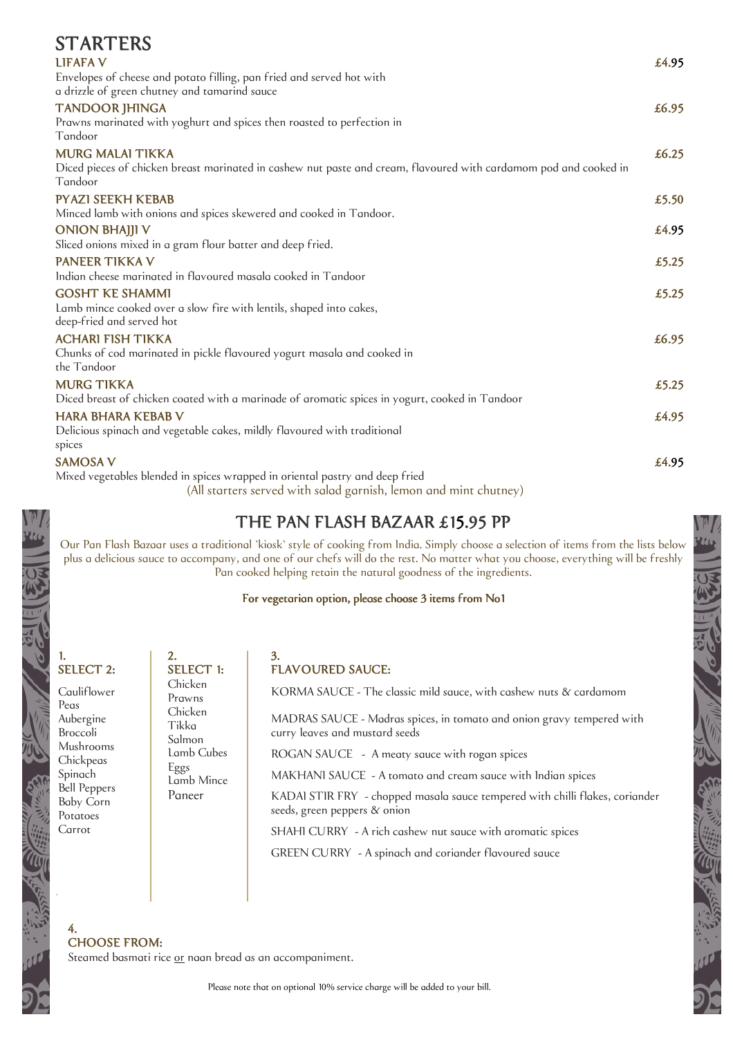| <b>STARTERS</b>                                                                                                              |       |
|------------------------------------------------------------------------------------------------------------------------------|-------|
| <b>LIFAFA V</b>                                                                                                              | £4.95 |
| Envelopes of cheese and potato filling, pan fried and served hot with                                                        |       |
| a drizzle of green chutney and tamarind sauce                                                                                |       |
| <b>TANDOOR JHINGA</b>                                                                                                        | £6.95 |
| Prawns marinated with yoghurt and spices then roasted to perfection in                                                       |       |
| Tandoor                                                                                                                      |       |
| <b>MURG MALAI TIKKA</b>                                                                                                      | £6.25 |
| Diced pieces of chicken breast marinated in cashew nut paste and cream, flavoured with cardamom pod and cooked in<br>Tandoor |       |
| <b>PYAZI SEEKH KEBAB</b>                                                                                                     | £5.50 |
| Minced lamb with onions and spices skewered and cooked in Tandoor.                                                           |       |
| <b>ONION BHAJJI V</b>                                                                                                        | £4.95 |
| Sliced onions mixed in a gram flour batter and deep fried.                                                                   |       |
| <b>PANEER TIKKA V</b>                                                                                                        | £5.25 |
| Indian cheese marinated in flavoured masala cooked in Tandoor                                                                |       |
| <b>GOSHT KE SHAMMI</b>                                                                                                       | £5.25 |
| Lamb mince cooked over a slow fire with lentils, shaped into cakes,                                                          |       |
| deep-fried and served hot                                                                                                    |       |
| <b>ACHARI FISH TIKKA</b>                                                                                                     | £6.95 |
| Chunks of cod marinated in pickle flavoured yogurt masala and cooked in<br>the Tandoor                                       |       |
| <b>MURG TIKKA</b>                                                                                                            | £5.25 |
| Diced breast of chicken coated with a marinade of aromatic spices in yogurt, cooked in Tandoor                               |       |
| <b>HARA BHARA KEBAB V</b>                                                                                                    | £4.95 |
| Delicious spinach and vegetable cakes, mildly flavoured with traditional                                                     |       |
| spices                                                                                                                       |       |
| <b>SAMOSA V</b>                                                                                                              | £4.95 |
| Mixed vegetables blended in spices wrapped in oriental pastry and deep fried                                                 |       |
| (All storters served with solod garnish lemon and mint churney)                                                              |       |

(All starters served with salad garnish, lemon and mint chutney)

#### THE PAN FLASH BAZAAR £15.95 PP

Our Pan Flash Bazaar uses a traditional `kiosk` style of cooking from India. Simply choose a selection of items from the lists below plus a delicious sauce to accompany, and one of our chefs will do the rest. No matter what you choose, everything will be freshly Pan cooked helping retain the natural goodness of the ingredients.

For vegetarian option, please choose 3 items from No1

#### 1. SELECT 2:

**Cauliflower** Peas Aubergine Broccoli Mushrooms **Chickpeas** Spinach Bell Peppers Baby Corn Potatoes Carrot

.

4.

| $\overline{2}$ .           | 3.                                                                                                           |
|----------------------------|--------------------------------------------------------------------------------------------------------------|
| <b>SELECT 1:</b>           | <b>FLAVOURED SAUCE:</b>                                                                                      |
| Chicken<br>Prawns          | KORMA SAUCE - The classic mild sauce, with cashew nuts & cardamom                                            |
| Chicken<br>Tikka<br>Salmon | MADRAS SAUCE - Madras spices, in tomato and onion gravy tempered with<br>curry leaves and mustard seeds      |
| Lamb Cubes                 | ROGAN SAUCE - A meaty sauce with rogan spices                                                                |
| Eggs<br>Lamb Mince         | MAKHANI SAUCE - A tomato and cream sauce with Indian spices                                                  |
| Paneer                     | KADAI STIR FRY - chopped masala sauce tempered with chilli flakes, coriander<br>seeds, green peppers & onion |
|                            | SHAHI CURRY - A rich cashew nut sauce with aromatic spices                                                   |
|                            | GREEN CURRY - A spinach and coriander flavoured sauce                                                        |

CHOOSE FROM:

Steamed basmati rice or naan bread as an accompaniment.

Please note that on optional 10% service charge will be added to your bill.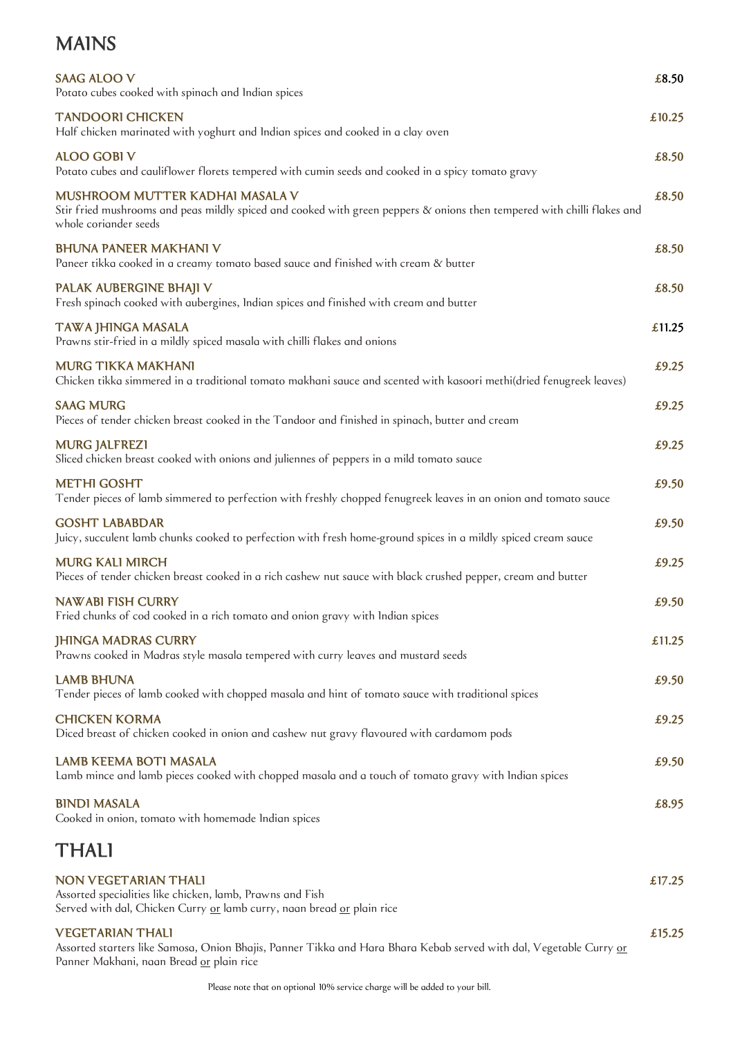## MAINS

| <b>SAAG ALOO V</b><br>Potato cubes cooked with spinach and Indian spices                                                                                                                         | £8.50  |
|--------------------------------------------------------------------------------------------------------------------------------------------------------------------------------------------------|--------|
| <b>TANDOORI CHICKEN</b><br>Half chicken marinated with yoghurt and Indian spices and cooked in a clay oven                                                                                       | £10.25 |
| <b>ALOO GOBI V</b><br>Potato cubes and cauliflower florets tempered with cumin seeds and cooked in a spicy tomato gravy                                                                          | £8.50  |
| MUSHROOM MUTTER KADHAI MASALA V<br>Stir fried mushrooms and peas mildly spiced and cooked with green peppers & onions then tempered with chilli flakes and<br>whole corionder seeds              | £8.50  |
| <b>BHUNA PANEER MAKHANI V</b><br>Paneer tikka cooked in a creamy tomato based sauce and finished with cream & butter                                                                             | £8.50  |
| PALAK AUBERGINE BHAJI V<br>Fresh spinach cooked with aubergines, Indian spices and finished with cream and butter                                                                                | £8.50  |
| TAWA JHINGA MASALA<br>Prawns stir-fried in a mildly spiced masala with chilli flakes and onions                                                                                                  | £11.25 |
| <b>MURG TIKKA MAKHANI</b><br>Chicken tikka simmered in a traditional tomato makhani sauce and scented with kasoori methi(dried fenugreek leaves)                                                 | £9.25  |
| <b>SAAG MURG</b><br>Pieces of tender chicken breast cooked in the Tandoor and finished in spinach, butter and cream                                                                              | £9.25  |
| <b>MURG JALFREZI</b><br>Sliced chicken breast cooked with onions and juliennes of peppers in a mild tomato sauce                                                                                 | £9.25  |
| <b>METHI GOSHT</b><br>Tender pieces of lamb simmered to perfection with freshly chopped fenugreek leaves in an onion and tomato sauce                                                            | £9.50  |
| <b>GOSHT LABABDAR</b><br>Juicy, succulent lamb chunks cooked to perfection with fresh home-ground spices in a mildly spiced cream sauce                                                          | £9.50  |
| <b>MURG KALI MIRCH</b><br>Pieces of tender chicken breast cooked in a rich cashew nut sauce with black crushed pepper, cream and butter                                                          | £9.25  |
| <b>NAWABI FISH CURRY</b><br>Fried chunks of cod cooked in a rich tomato and onion gravy with Indian spices                                                                                       | £9.50  |
| <b>JHINGA MADRAS CURRY</b><br>Prawns cooked in Madras style masala tempered with curry leaves and mustard seeds                                                                                  | £11.25 |
| <b>LAMB BHUNA</b><br>Tender pieces of lamb cooked with chopped masala and hint of tomato sauce with traditional spices                                                                           | £9.50  |
| <b>CHICKEN KORMA</b><br>Diced breast of chicken cooked in onion and cashew nut gravy flavoured with cardamom pods                                                                                | £9.25  |
| <b>LAMB KEEMA BOTI MASALA</b><br>Lamb mince and lamb pieces cooked with chopped masala and a touch of tomato gravy with Indian spices                                                            | £9.50  |
| <b>BINDI MASALA</b><br>Cooked in onion, tomato with homemade Indian spices                                                                                                                       | £8.95  |
| <b>THALI</b>                                                                                                                                                                                     |        |
| <b>NON VEGETARIAN THALI</b><br>Assorted specialities like chicken, lamb, Prawns and Fish<br>Served with dal, Chicken Curry or lamb curry, naan bread or plain rice                               | £17.25 |
| <b>VEGETARIAN THALI</b><br>Assorted starters like Samosa, Onion Bhajis, Panner Tikka and Hara Bhara Kebab served with dal, Vegetable Curry <u>or</u><br>Panner Makhani, naan Bread or plain rice | £15.25 |